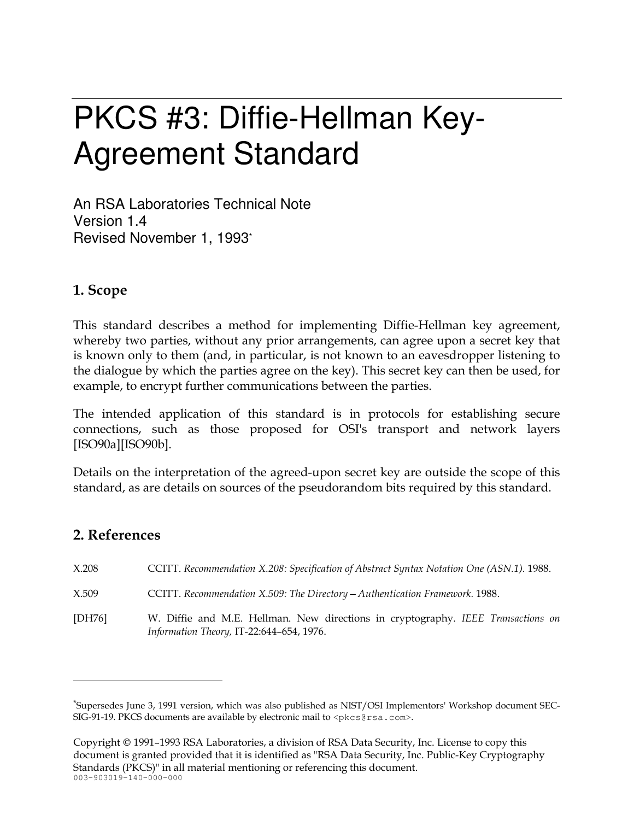# PKCS #3: Diffie-Hellman Key-**Agreement Standard**

An RSA Laboratories Technical Note Version 1.4 Revised November 1, 1993\*

## 1. Scope

This standard describes a method for implementing Diffie-Hellman key agreement, whereby two parties, without any prior arrangements, can agree upon a secret key that is known only to them (and, in particular, is not known to an eaves dropper listening to the dialogue by which the parties agree on the key). This secret key can then be used, for example, to encrypt further communications between the parties.

The intended application of this standard is in protocols for establishing secure connections, such as those proposed for OSI's transport and network layers  $[ISO90a][ISO90b].$ 

Details on the interpretation of the agreed-upon secret key are outside the scope of this standard, as are details on sources of the pseudorandom bits required by this standard.

## 2. References

 $X.208$ CCITT. Recommendation X.208: Specification of Abstract Syntax Notation One (ASN.1). 1988. X.509 CCITT. Recommendation X.509: The Directory - Authentication Framework. 1988.  $[DH76]$ W. Diffie and M.E. Hellman. New directions in cryptography. IEEE Transactions on Information Theory, IT-22:644-654, 1976.

Copyright © 1991–1993 RSA Laboratories, a division of RSA Data Security, Inc. License to copy this document is granted provided that it is identified as "RSA Data Security, Inc. Public-Key Cryptography Standards (PKCS)" in all material mentioning or referencing this document.  $003 - 903019 - 140 - 000 - 000$ 

<sup>&</sup>quot;Supersedes June 3, 1991 version, which was also published as NIST/OSI Implementors' Workshop document SEC-SIG-91-19. PKCS documents are available by electronic mail to <pkcs@rsa.com>.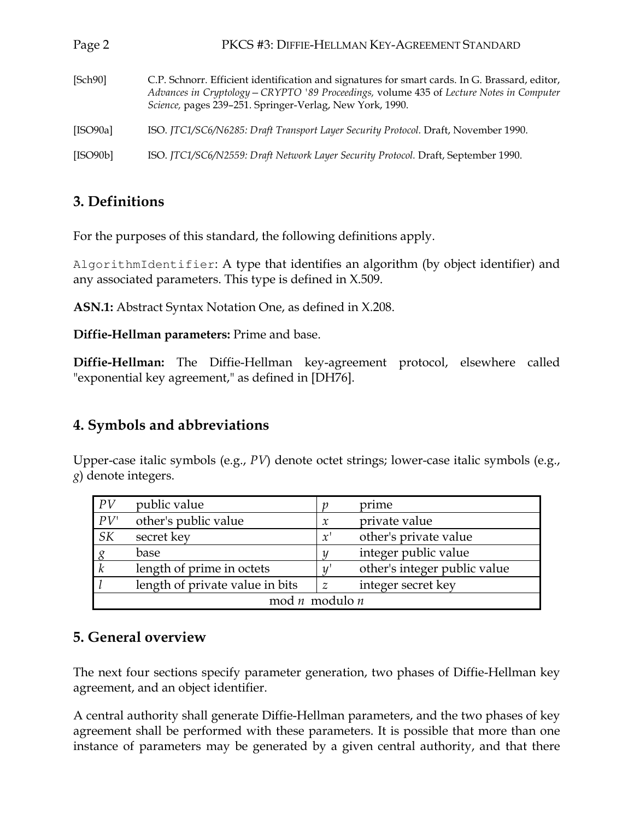| Page 2   | PKCS #3: DIFFIE-HELLMAN KEY-AGREEMENT STANDARD                                                                                                                                                                                                         |  |  |
|----------|--------------------------------------------------------------------------------------------------------------------------------------------------------------------------------------------------------------------------------------------------------|--|--|
| [Sch90]  | C.P. Schnorr. Efficient identification and signatures for smart cards. In G. Brassard, editor,<br>Advances in Cryptology - CRYPTO '89 Proceedings, volume 435 of Lecture Notes in Computer<br>Science, pages 239-251. Springer-Verlag, New York, 1990. |  |  |
| [ISO90a] | ISO. JTC1/SC6/N6285: Draft Transport Layer Security Protocol. Draft, November 1990.                                                                                                                                                                    |  |  |
| [ISO90b] | ISO. JTC1/SC6/N2559: Draft Network Layer Security Protocol. Draft, September 1990.                                                                                                                                                                     |  |  |

# 3. Definitions

For the purposes of this standard, the following definitions apply.

AlgorithmIdentifier: A type that identifies an algorithm (by object identifier) and any associated parameters. This type is defined in X.509.

**ASN.1:** Abstract Syntax Notation One, as defined in X.208.

Diffie-Hellman parameters: Prime and base.

**Diffie-Hellman:** The Diffie-Hellman key-agreement protocol, elsewhere called "exponential key agreement," as defined in [DH76].

## 4. Symbols and abbreviations

Upper-case italic symbols (e.g., PV) denote octet strings; lower-case italic symbols (e.g.,  $g$ ) denote integers.

| PV                      | public value                    |               | prime                        |  |
|-------------------------|---------------------------------|---------------|------------------------------|--|
| PV'                     | other's public value            | $\mathcal{X}$ | private value                |  |
| <i>SK</i>               | secret key                      | x'            | other's private value        |  |
|                         | base                            |               | integer public value         |  |
| $\boldsymbol{k}$        | length of prime in octets       |               | other's integer public value |  |
|                         | length of private value in bits | $\mathbb Z$   | integer secret key           |  |
| $mod n$ modulo <i>n</i> |                                 |               |                              |  |

## 5. General overview

The next four sections specify parameter generation, two phases of Diffie-Hellman key agreement, and an object identifier.

A central authority shall generate Diffie-Hellman parameters, and the two phases of key agreement shall be performed with these parameters. It is possible that more than one instance of parameters may be generated by a given central authority, and that there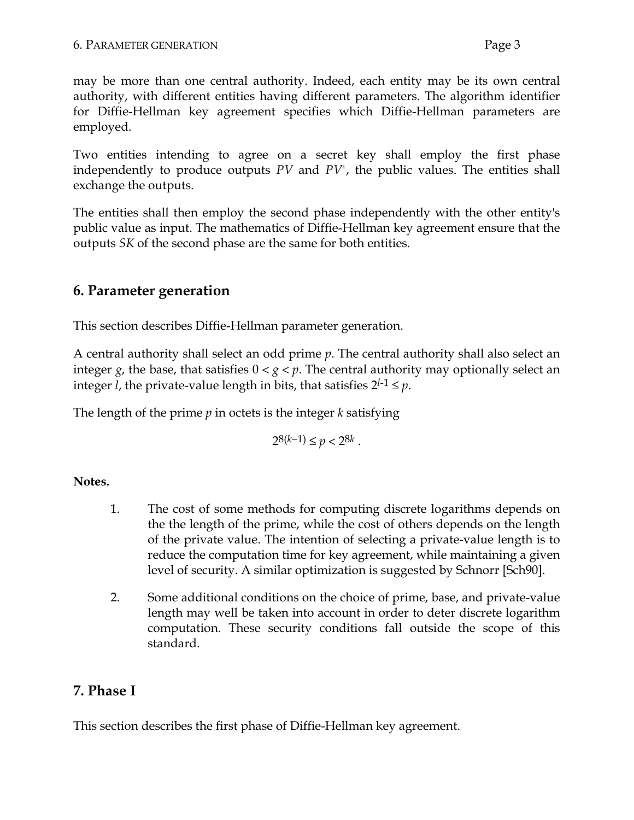may be more than one central authority. Indeed, each entity may be its own central authority, with different entities having different parameters. The algorithm identifier for Diffie-Hellman key agreement specifies which Diffie-Hellman parameters are employed.

Two entities intending to agree on a secret key shall employ the first phase independently to produce outputs  $PV$  and  $PV'$ , the public values. The entities shall exchange the outputs.

The entities shall then employ the second phase independently with the other entity's public value as input. The mathematics of Diffie-Hellman key agreement ensure that the outputs SK of the second phase are the same for both entities.

# 6. Parameter generation

This section describes Diffie-Hellman parameter generation.

A central authority shall select an odd prime  $p$ . The central authority shall also select an integer g, the base, that satisfies  $0 < g < p$ . The central authority may optionally select an integer *l*, the private-value length in bits, that satisfies  $2^{l-1} \leq p$ .

The length of the prime  $p$  in octets is the integer  $k$  satisfying

$$
2^{8(k-1)} \le p < 2^{8k}.
$$

#### Notes.

- 1. The cost of some methods for computing discrete logarithms depends on the the length of the prime, while the cost of others depends on the length of the private value. The intention of selecting a private-value length is to reduce the computation time for key agreement, while maintaining a given level of security. A similar optimization is suggested by Schnorr [Sch90].
- $2.$ Some additional conditions on the choice of prime, base, and private-value length may well be taken into account in order to deter discrete logarithm computation. These security conditions fall outside the scope of this standard.

# 7. Phase I

This section describes the first phase of Diffie-Hellman key agreement.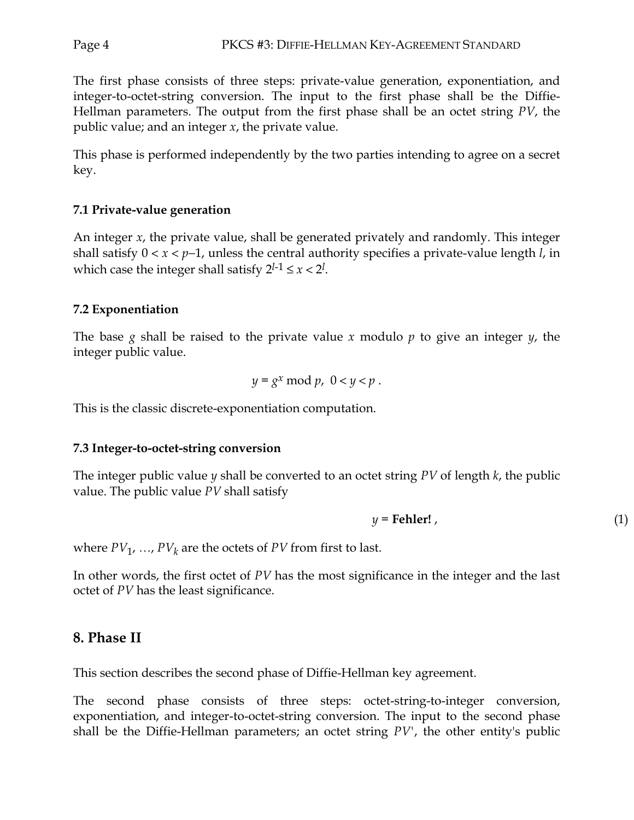The first phase consists of three steps: private-value generation, exponentiation, and integer-to-octet-string conversion. The input to the first phase shall be the Diffie-Hellman parameters. The output from the first phase shall be an octet string PV, the public value; and an integer  $x$ , the private value.

This phase is performed independently by the two parties intending to agree on a secret key.

#### 7.1 Private-value generation

An integer  $x$ , the private value, shall be generated privately and randomly. This integer shall satisfy  $0 < x < p-1$ , unless the central authority specifies a private-value length *l*, in which case the integer shall satisfy  $2^{l-1} \le x < 2^l$ .

#### 7.2 Exponentiation

The base g shall be raised to the private value x modulo p to give an integer  $y$ , the integer public value.

$$
y = g^x \bmod p, \ 0 < y < p \, .
$$

This is the classic discrete-exponentiation computation.

#### 7.3 Integer-to-octet-string conversion

The integer public value  $y$  shall be converted to an octet string  $PV$  of length  $k$ , the public value. The public value  $PV$  shall satisfy

$$
y = \textbf{Fehler!} \tag{1}
$$

where  $PV_1$ , ...,  $PV_k$  are the octets of PV from first to last.

In other words, the first octet of PV has the most significance in the integer and the last octet of PV has the least significance.

#### 8. Phase II

This section describes the second phase of Diffie-Hellman key agreement.

The second phase consists of three steps: octet-string-to-integer conversion, exponentiation, and integer-to-octet-string conversion. The input to the second phase shall be the Diffie-Hellman parameters; an octet string  $PV'$ , the other entity's public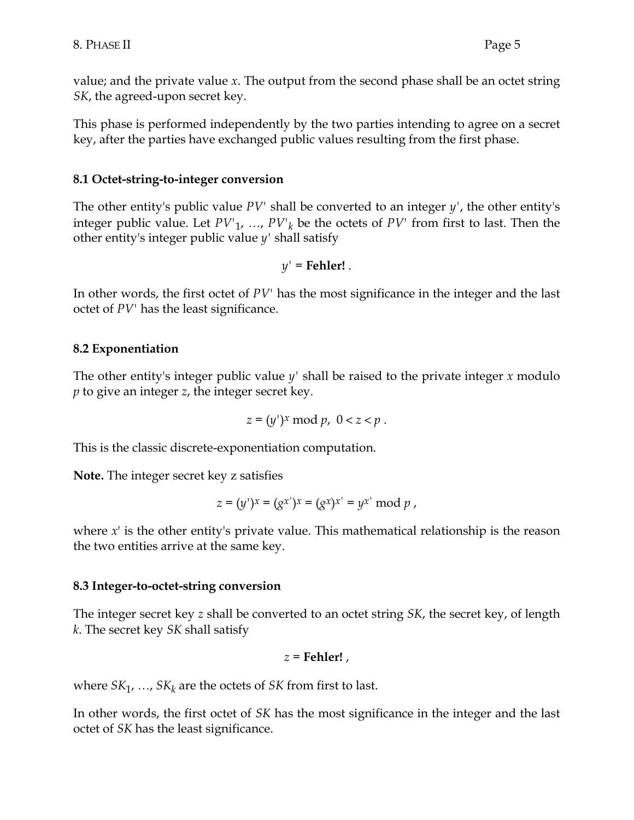value; and the private value x. The output from the second phase shall be an octet string *SK*, the agreed-upon secret key.

This phase is performed independently by the two parties intending to agree on a secret key, after the parties have exchanged public values resulting from the first phase.

#### 8.1 Octet-string-to-integer conversion

The other entity's public value  $PV'$  shall be converted to an integer  $y'$ , the other entity's integer public value. Let  $PV'_{1}, ..., PV'_{k}$  be the octets of  $PV'$  from first to last. Then the other entity's integer public value  $y'$  shall satisfy

$$
y' = \mathbf{Fehler!}.
$$

In other words, the first octet of  $PV'$  has the most significance in the integer and the last octet of PV' has the least significance.

#### 8.2 Exponentiation

The other entity's integer public value  $y'$  shall be raised to the private integer x modulo  $p$  to give an integer  $z$ , the integer secret key.

$$
z = (y')^x \bmod p, \ 0 < z < p \, .
$$

This is the classic discrete-exponentiation computation.

Note. The integer secret key z satisfies

$$
z = (y')^x = (g^{x'})^x = (g^x)^{x'} = y^{x'} \bmod p,
$$

where  $x^{\prime}$  is the other entity's private value. This mathematical relationship is the reason the two entities arrive at the same key.

#### 8.3 Integer-to-octet-string conversion

The integer secret key z shall be converted to an octet string SK, the secret key, of length k. The secret key SK shall satisfy

$$
z = \textbf{Fehler!}\,,
$$

where  $SK_1$ , ...,  $SK_k$  are the octets of SK from first to last.

In other words, the first octet of SK has the most significance in the integer and the last octet of SK has the least significance.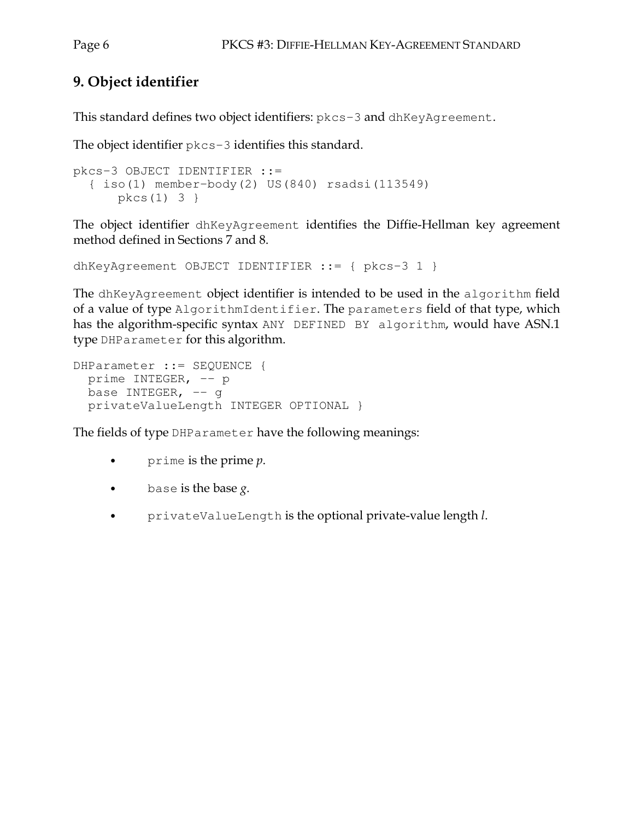# 9. Object identifier

This standard defines two object identifiers: pkcs-3 and dhKeyAgreement.

The object identifier  $pkcs-3$  identifies this standard.

```
pkcs-3 OBJECT IDENTIFIER ::=
 \{ iso(1) member-body(2) US(840) rsadsi(113549)pkcs(1) 3 }
```
The object identifier dhKeyAgreement identifies the Diffie-Hellman key agreement method defined in Sections 7 and 8.

```
dhKeyAgreement OBJECT IDENTIFIER : = { pkcs-3 1 }
```
The dhKeyAgreement object identifier is intended to be used in the algorithm field of a value of type AlgorithmIdentifier. The parameters field of that type, which has the algorithm-specific syntax ANY DEFINED BY algorithm, would have ASN.1 type DHP arameter for this algorithm.

```
DHParameter ::= SEQUENCE {
prime INTEGER, -- p
base INTEGER, -- g
privateValueLength INTEGER OPTIONAL }
```
The fields of type DHP arameter have the following meanings:

- prime is the prime  $p$ .  $\bullet$
- $\bullet$ base is the base  $g$ .
- $\bullet$ privateValueLength is the optional private-value length l.